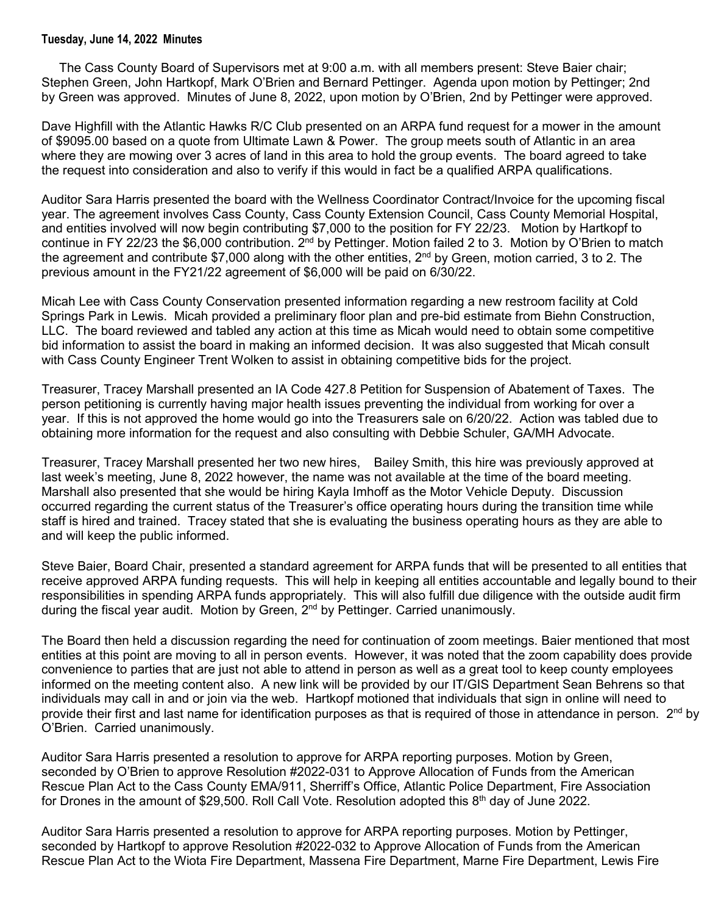## **Tuesday, June 14, 2022 Minutes**

 The Cass County Board of Supervisors met at 9:00 a.m. with all members present: Steve Baier chair; Stephen Green, John Hartkopf, Mark O'Brien and Bernard Pettinger. Agenda upon motion by Pettinger; 2nd by Green was approved. Minutes of June 8, 2022, upon motion by O'Brien, 2nd by Pettinger were approved.

Dave Highfill with the Atlantic Hawks R/C Club presented on an ARPA fund request for a mower in the amount of \$9095.00 based on a quote from Ultimate Lawn & Power. The group meets south of Atlantic in an area where they are mowing over 3 acres of land in this area to hold the group events. The board agreed to take the request into consideration and also to verify if this would in fact be a qualified ARPA qualifications.

Auditor Sara Harris presented the board with the Wellness Coordinator Contract/Invoice for the upcoming fiscal year. The agreement involves Cass County, Cass County Extension Council, Cass County Memorial Hospital, and entities involved will now begin contributing \$7,000 to the position for FY 22/23. Motion by Hartkopf to continue in FY 22/23 the \$6,000 contribution. 2nd by Pettinger. Motion failed 2 to 3. Motion by O'Brien to match the agreement and contribute \$7,000 along with the other entities, 2<sup>nd</sup> by Green, motion carried, 3 to 2. The previous amount in the FY21/22 agreement of \$6,000 will be paid on 6/30/22.

Micah Lee with Cass County Conservation presented information regarding a new restroom facility at Cold Springs Park in Lewis. Micah provided a preliminary floor plan and pre-bid estimate from Biehn Construction, LLC. The board reviewed and tabled any action at this time as Micah would need to obtain some competitive bid information to assist the board in making an informed decision. It was also suggested that Micah consult with Cass County Engineer Trent Wolken to assist in obtaining competitive bids for the project.

Treasurer, Tracey Marshall presented an IA Code 427.8 Petition for Suspension of Abatement of Taxes. The person petitioning is currently having major health issues preventing the individual from working for over a year. If this is not approved the home would go into the Treasurers sale on 6/20/22. Action was tabled due to obtaining more information for the request and also consulting with Debbie Schuler, GA/MH Advocate.

Treasurer, Tracey Marshall presented her two new hires, Bailey Smith, this hire was previously approved at last week's meeting, June 8, 2022 however, the name was not available at the time of the board meeting. Marshall also presented that she would be hiring Kayla Imhoff as the Motor Vehicle Deputy. Discussion occurred regarding the current status of the Treasurer's office operating hours during the transition time while staff is hired and trained. Tracey stated that she is evaluating the business operating hours as they are able to and will keep the public informed.

Steve Baier, Board Chair, presented a standard agreement for ARPA funds that will be presented to all entities that receive approved ARPA funding requests. This will help in keeping all entities accountable and legally bound to their responsibilities in spending ARPA funds appropriately. This will also fulfill due diligence with the outside audit firm during the fiscal year audit. Motion by Green, 2<sup>nd</sup> by Pettinger. Carried unanimously.

The Board then held a discussion regarding the need for continuation of zoom meetings. Baier mentioned that most entities at this point are moving to all in person events. However, it was noted that the zoom capability does provide convenience to parties that are just not able to attend in person as well as a great tool to keep county employees informed on the meeting content also. A new link will be provided by our IT/GIS Department Sean Behrens so that individuals may call in and or join via the web. Hartkopf motioned that individuals that sign in online will need to provide their first and last name for identification purposes as that is required of those in attendance in person.  $2<sup>nd</sup>$  by O'Brien. Carried unanimously.

Auditor Sara Harris presented a resolution to approve for ARPA reporting purposes. Motion by Green, seconded by O'Brien to approve Resolution #2022-031 to Approve Allocation of Funds from the American Rescue Plan Act to the Cass County EMA/911, Sherriff's Office, Atlantic Police Department, Fire Association for Drones in the amount of \$29,500. Roll Call Vote. Resolution adopted this  $8<sup>th</sup>$  day of June 2022.

Auditor Sara Harris presented a resolution to approve for ARPA reporting purposes. Motion by Pettinger, seconded by Hartkopf to approve Resolution #2022-032 to Approve Allocation of Funds from the American Rescue Plan Act to the Wiota Fire Department, Massena Fire Department, Marne Fire Department, Lewis Fire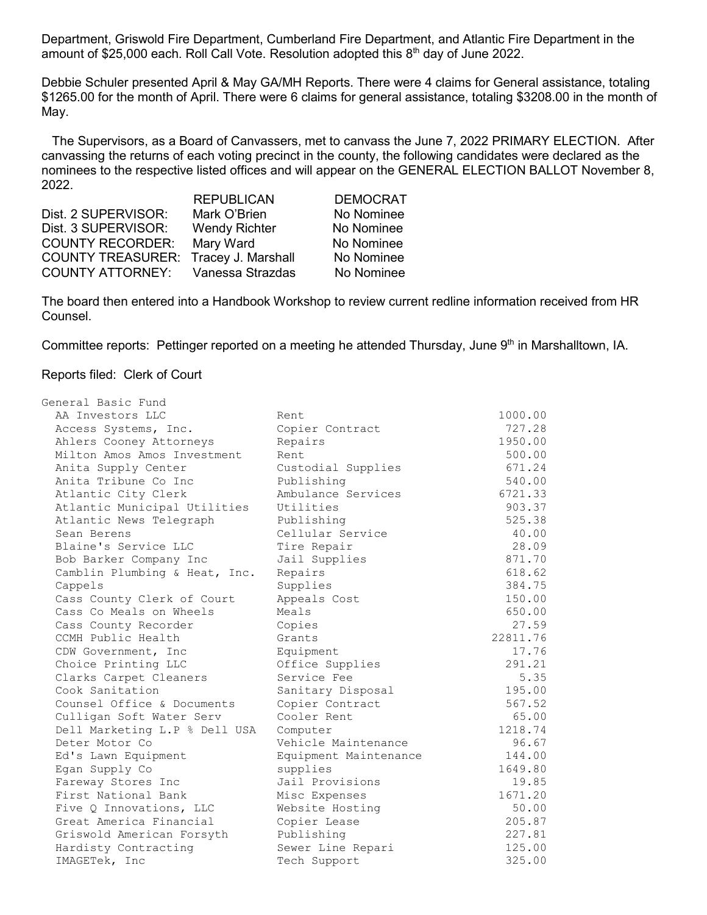Department, Griswold Fire Department, Cumberland Fire Department, and Atlantic Fire Department in the amount of \$25,000 each. Roll Call Vote. Resolution adopted this  $8<sup>th</sup>$  day of June 2022.

Debbie Schuler presented April & May GA/MH Reports. There were 4 claims for General assistance, totaling \$1265.00 for the month of April. There were 6 claims for general assistance, totaling \$3208.00 in the month of May.

 The Supervisors, as a Board of Canvassers, met to canvass the June 7, 2022 PRIMARY ELECTION. After canvassing the returns of each voting precinct in the county, the following candidates were declared as the nominees to the respective listed offices and will appear on the GENERAL ELECTION BALLOT November 8, 2022.

|                          | <b>REPUBLICAN</b>    | <b>DEMOCRAT</b> |
|--------------------------|----------------------|-----------------|
| Dist. 2 SUPERVISOR:      | Mark O'Brien         | No Nominee      |
| Dist. 3 SUPERVISOR:      | <b>Wendy Richter</b> | No Nominee      |
| <b>COUNTY RECORDER:</b>  | Mary Ward            | No Nominee      |
| <b>COUNTY TREASURER:</b> | Tracey J. Marshall   | No Nominee      |
| <b>COUNTY ATTORNEY:</b>  | Vanessa Strazdas     | No Nominee      |

The board then entered into a Handbook Workshop to review current redline information received from HR Counsel.

Committee reports: Pettinger reported on a meeting he attended Thursday, June 9th in Marshalltown, IA.

## Reports filed: Clerk of Court

| General Basic Fund            |                       |          |
|-------------------------------|-----------------------|----------|
| AA Investors LLC              | Rent                  | 1000.00  |
| Access Systems, Inc.          | Copier Contract       | 727.28   |
| Ahlers Cooney Attorneys       | Repairs               | 1950.00  |
| Milton Amos Amos Investment   | Rent.                 | 500.00   |
| Anita Supply Center           | Custodial Supplies    | 671.24   |
| Anita Tribune Co Inc          | Publishing            | 540.00   |
| Atlantic City Clerk           | Ambulance Services    | 6721.33  |
| Atlantic Municipal Utilities  | Utilities             | 903.37   |
| Atlantic News Telegraph       | Publishing            | 525.38   |
| Sean Berens                   | Cellular Service      | 40.00    |
| Blaine's Service LLC          | Tire Repair           | 28.09    |
| Bob Barker Company Inc        | Jail Supplies         | 871.70   |
| Camblin Plumbing & Heat, Inc. | Repairs               | 618.62   |
| Cappels                       | Supplies              | 384.75   |
| Cass County Clerk of Court    | Appeals Cost          | 150.00   |
| Cass Co Meals on Wheels       | Meals                 | 650.00   |
| Cass County Recorder          | Copies                | 27.59    |
| CCMH Public Health            | Grants                | 22811.76 |
| CDW Government, Inc           | Equipment             | 17.76    |
| Choice Printing LLC           | Office Supplies       | 291.21   |
| Clarks Carpet Cleaners        | Service Fee           | 5.35     |
| Cook Sanitation               | Sanitary Disposal     | 195.00   |
| Counsel Office & Documents    | Copier Contract       | 567.52   |
| Culligan Soft Water Serv      | Cooler Rent           | 65.00    |
| Dell Marketing L.P % Dell USA | Computer              | 1218.74  |
| Deter Motor Co                | Vehicle Maintenance   | 96.67    |
| Ed's Lawn Equipment           | Equipment Maintenance | 144.00   |
| Egan Supply Co                | supplies              | 1649.80  |
| Fareway Stores Inc            | Jail Provisions       | 19.85    |
| First National Bank           | Misc Expenses         | 1671.20  |
| Five Q Innovations, LLC       | Website Hosting       | 50.00    |
| Great America Financial       | Copier Lease          | 205.87   |
| Griswold American Forsyth     | Publishing            | 227.81   |
| Hardisty Contracting          | Sewer Line Repari     | 125.00   |
| IMAGETek, Inc                 | Tech Support          | 325.00   |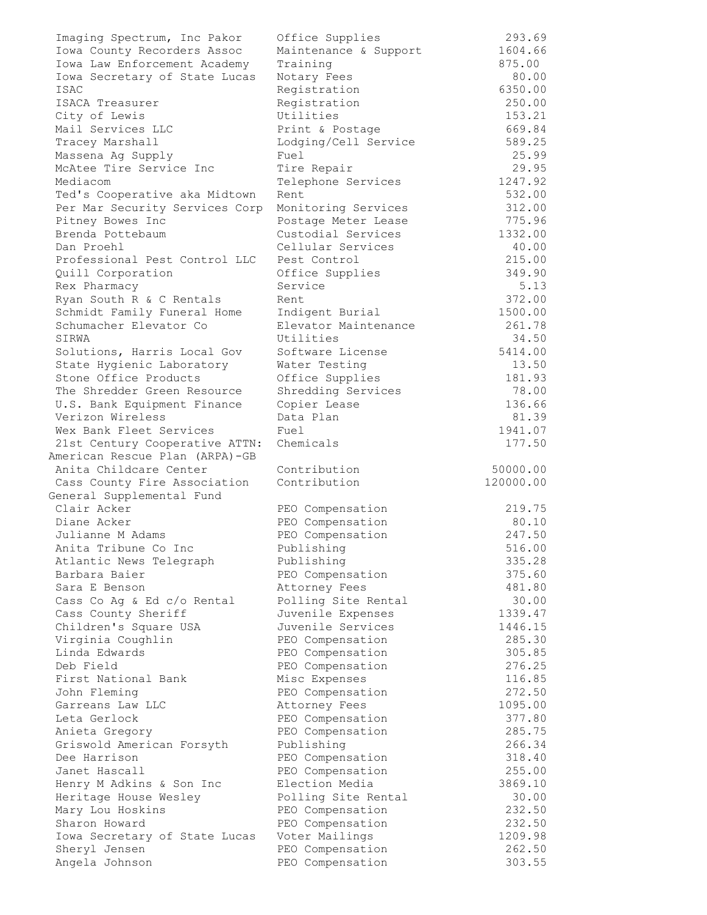| Imaging Spectrum, Inc Pakor    | Office Supplies       | 293.69    |
|--------------------------------|-----------------------|-----------|
| Iowa County Recorders Assoc    | Maintenance & Support | 1604.66   |
| Iowa Law Enforcement Academy   | Training              | 875.00    |
| Iowa Secretary of State Lucas  | Notary Fees           | 80.00     |
| ISAC                           | Registration          | 6350.00   |
| ISACA Treasurer                | Registration          | 250.00    |
| City of Lewis                  | Utilities             | 153.21    |
| Mail Services LLC              | Print & Postage       | 669.84    |
| Tracey Marshall                | Lodging/Cell Service  | 589.25    |
| Massena Ag Supply              | Fuel                  | 25.99     |
| McAtee Tire Service Inc        | Tire Repair           | 29.95     |
| Mediacom                       | Telephone Services    | 1247.92   |
| Ted's Cooperative aka Midtown  | Rent                  | 532.00    |
| Per Mar Security Services Corp | Monitoring Services   | 312.00    |
| Pitney Bowes Inc               | Postage Meter Lease   | 775.96    |
| Brenda Pottebaum               | Custodial Services    | 1332.00   |
| Dan Proehl                     | Cellular Services     | 40.00     |
| Professional Pest Control LLC  |                       | 215.00    |
|                                | Pest Control          |           |
| Quill Corporation              | Office Supplies       | 349.90    |
| Rex Pharmacy                   | Service               | 5.13      |
| Ryan South R & C Rentals       | Rent                  | 372.00    |
| Schmidt Family Funeral Home    | Indigent Burial       | 1500.00   |
| Schumacher Elevator Co         | Elevator Maintenance  | 261.78    |
| SIRWA                          | Utilities             | 34.50     |
| Solutions, Harris Local Gov    | Software License      | 5414.00   |
| State Hygienic Laboratory      | Water Testing         | 13.50     |
| Stone Office Products          | Office Supplies       | 181.93    |
| The Shredder Green Resource    | Shredding Services    | 78.00     |
| U.S. Bank Equipment Finance    | Copier Lease          | 136.66    |
| Verizon Wireless               | Data Plan             | 81.39     |
| Wex Bank Fleet Services        | Fuel                  | 1941.07   |
| 21st Century Cooperative ATTN: | Chemicals             | 177.50    |
| American Rescue Plan (ARPA)-GB |                       |           |
| Anita Childcare Center         | Contribution          | 50000.00  |
| Cass County Fire Association   | Contribution          | 120000.00 |
| General Supplemental Fund      |                       |           |
| Clair Acker                    | PEO Compensation      | 219.75    |
| Diane Acker                    | PEO Compensation      | 80.10     |
| Julianne M Adams               | PEO Compensation      | 247.50    |
| Anita Tribune Co Inc           | Publishing            | 516.00    |
| Atlantic News Telegraph        | Publishing            | 335.28    |
| Barbara Baier                  | PEO Compensation      | 375.60    |
| Sara E Benson                  | Attorney Fees         | 481.80    |
| Cass Co Ag & Ed c/o Rental     | Polling Site Rental   | 30.00     |
| Cass County Sheriff            | Juvenile Expenses     | 1339.47   |
| Children's Square USA          | Juvenile Services     | 1446.15   |
| Virginia Coughlin              | PEO Compensation      | 285.30    |
| Linda Edwards                  | PEO Compensation      |           |
|                                |                       | 305.85    |
| Deb Field                      | PEO Compensation      | 276.25    |
| First National Bank            | Misc Expenses         | 116.85    |
| John Fleming                   | PEO Compensation      | 272.50    |
| Garreans Law LLC               | Attorney Fees         | 1095.00   |
| Leta Gerlock                   | PEO Compensation      | 377.80    |
| Anieta Gregory                 | PEO Compensation      | 285.75    |
| Griswold American Forsyth      | Publishing            | 266.34    |
| Dee Harrison                   | PEO Compensation      | 318.40    |
| Janet Hascall                  | PEO Compensation      | 255.00    |
| Henry M Adkins & Son Inc       | Election Media        | 3869.10   |
| Heritage House Wesley          | Polling Site Rental   | 30.00     |
| Mary Lou Hoskins               | PEO Compensation      | 232.50    |
| Sharon Howard                  | PEO Compensation      | 232.50    |
| Iowa Secretary of State Lucas  | Voter Mailings        | 1209.98   |
| Sheryl Jensen                  | PEO Compensation      | 262.50    |
| Angela Johnson                 | PEO Compensation      | 303.55    |
|                                |                       |           |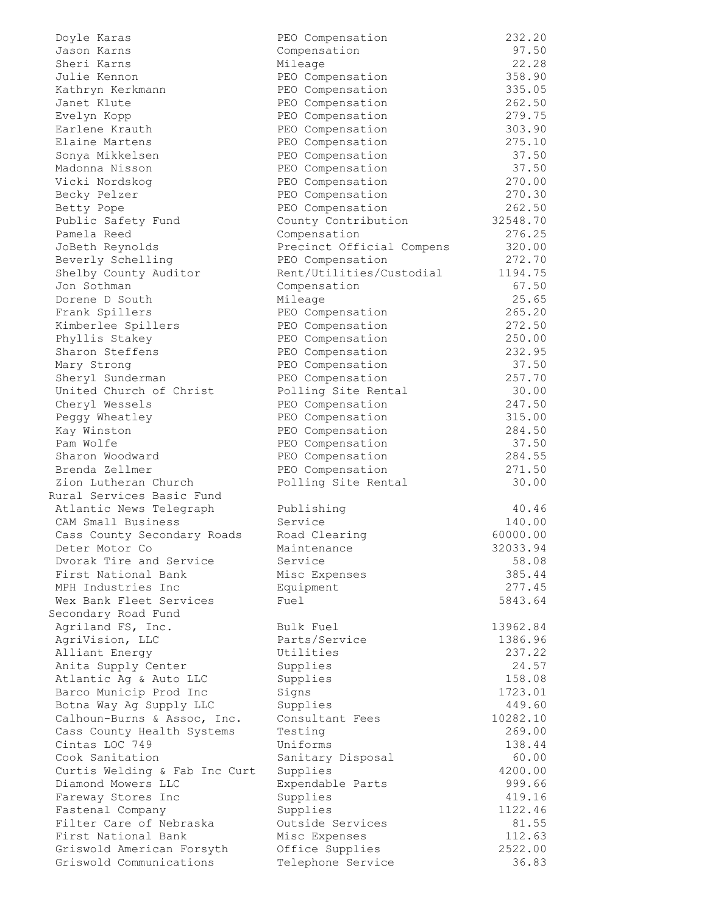| Doyle Karas                   | PEO Compensation          | 232.20   |
|-------------------------------|---------------------------|----------|
| Jason Karns                   | Compensation              | 97.50    |
| Sheri Karns                   | Mileage                   | 22.28    |
|                               |                           |          |
| Julie Kennon                  | PEO Compensation          | 358.90   |
| Kathryn Kerkmann              | PEO Compensation          | 335.05   |
| Janet Klute                   | PEO Compensation          | 262.50   |
| Evelyn Kopp                   | PEO Compensation          | 279.75   |
| Earlene Krauth                | PEO Compensation          | 303.90   |
|                               |                           |          |
| Elaine Martens                | PEO Compensation          | 275.10   |
| Sonya Mikkelsen               | PEO Compensation          | 37.50    |
| Madonna Nisson                | PEO Compensation          | 37.50    |
| Vicki Nordskog                | PEO Compensation          | 270.00   |
| Becky Pelzer                  | PEO Compensation          | 270.30   |
|                               |                           |          |
| Betty Pope                    | PEO Compensation          | 262.50   |
| Public Safety Fund            | County Contribution       | 32548.70 |
| Pamela Reed                   | Compensation              | 276.25   |
| JoBeth Reynolds               | Precinct Official Compens | 320.00   |
| Beverly Schelling             | PEO Compensation          | 272.70   |
|                               |                           |          |
| Shelby County Auditor         | Rent/Utilities/Custodial  | 1194.75  |
| Jon Sothman                   | Compensation              | 67.50    |
| Dorene D South                | Mileage                   | 25.65    |
| Frank Spillers                | PEO Compensation          | 265.20   |
| Kimberlee Spillers            | PEO Compensation          | 272.50   |
|                               |                           |          |
| Phyllis Stakey                | PEO Compensation          | 250.00   |
| Sharon Steffens               | PEO Compensation          | 232.95   |
| Mary Strong                   | PEO Compensation          | 37.50    |
| Sheryl Sunderman              | PEO Compensation          | 257.70   |
| United Church of Christ       | Polling Site Rental       | 30.00    |
|                               |                           |          |
| Cheryl Wessels                | PEO Compensation          | 247.50   |
| Peggy Wheatley                | PEO Compensation          | 315.00   |
| Kay Winston                   | PEO Compensation          | 284.50   |
| Pam Wolfe                     | PEO Compensation          | 37.50    |
| Sharon Woodward               | PEO Compensation          | 284.55   |
|                               |                           |          |
| Brenda Zellmer                | PEO Compensation          | 271.50   |
| Zion Lutheran Church          | Polling Site Rental       | 30.00    |
| Rural Services Basic Fund     |                           |          |
| Atlantic News Telegraph       | Publishing                | 40.46    |
| CAM Small Business            | Service                   | 140.00   |
|                               |                           |          |
| Cass County Secondary Roads   | Road Clearing             | 60000.00 |
| Deter Motor Co                | Maintenance               | 32033.94 |
| Dvorak Tire and Service       | Service                   | 58.08    |
| First National Bank           | Misc Expenses             | 385.44   |
| MPH Industries Inc            | Equipment                 | 277.45   |
|                               |                           |          |
| Wex Bank Fleet Services       | Fuel                      | 5843.64  |
| Secondary Road Fund           |                           |          |
| Agriland FS, Inc.             | Bulk Fuel                 | 13962.84 |
| AgriVision, LLC               | Parts/Service             | 1386.96  |
| Alliant Energy                | Utilities                 | 237.22   |
|                               |                           |          |
| Anita Supply Center           | Supplies                  | 24.57    |
| Atlantic Ag & Auto LLC        | Supplies                  | 158.08   |
| Barco Municip Prod Inc        | Signs                     | 1723.01  |
| Botna Way Ag Supply LLC       | Supplies                  | 449.60   |
| Calhoun-Burns & Assoc, Inc.   | Consultant Fees           | 10282.10 |
| Cass County Health Systems    | Testing                   | 269.00   |
|                               |                           |          |
| Cintas LOC 749                | Uniforms                  | 138.44   |
| Cook Sanitation               | Sanitary Disposal         | 60.00    |
| Curtis Welding & Fab Inc Curt | Supplies                  | 4200.00  |
| Diamond Mowers LLC            | Expendable Parts          | 999.66   |
| Fareway Stores Inc            | Supplies                  | 419.16   |
|                               |                           |          |
| Fastenal Company              | Supplies                  | 1122.46  |
| Filter Care of Nebraska       | Outside Services          | 81.55    |
| First National Bank           | Misc Expenses             | 112.63   |
| Griswold American Forsyth     | Office Supplies           | 2522.00  |
| Griswold Communications       | Telephone Service         | 36.83    |
|                               |                           |          |